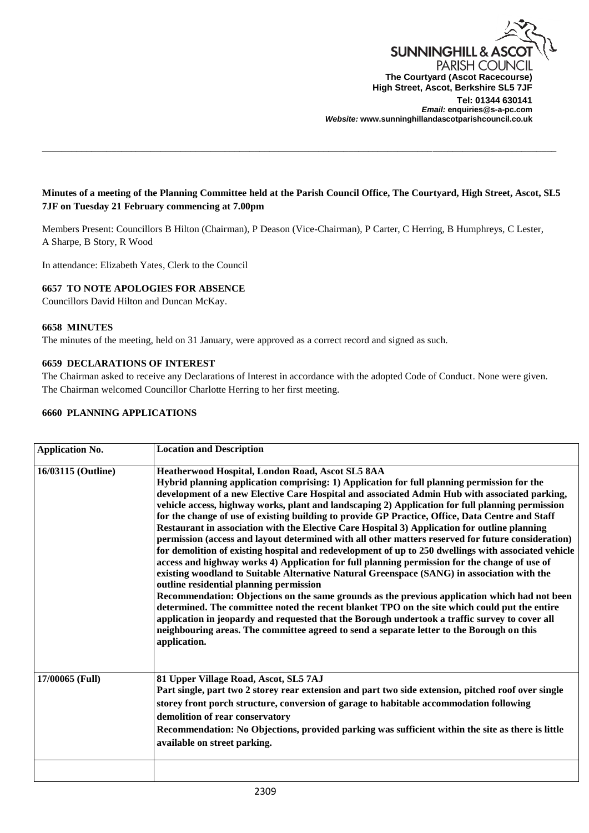

## **Minutes of a meeting of the Planning Committee held at the Parish Council Office, The Courtyard, High Street, Ascot, SL5 7JF on Tuesday 21 February commencing at 7.00pm**

\_\_\_\_\_\_\_\_\_\_\_\_\_\_\_\_\_\_\_\_\_\_\_\_\_\_\_\_\_\_\_\_\_\_\_\_\_\_\_\_\_\_\_\_\_\_\_\_\_\_\_\_\_\_\_\_\_\_\_\_\_\_\_\_\_\_\_\_\_\_\_\_\_\_\_\_\_\_\_\_\_\_\_\_\_\_\_\_\_\_\_\_\_\_\_\_\_\_\_\_\_\_\_\_

Members Present: Councillors B Hilton (Chairman), P Deason (Vice-Chairman), P Carter, C Herring, B Humphreys, C Lester, A Sharpe, B Story, R Wood

In attendance: Elizabeth Yates, Clerk to the Council

### **6657 TO NOTE APOLOGIES FOR ABSENCE**

Councillors David Hilton and Duncan McKay.

#### **6658 MINUTES**

The minutes of the meeting, held on 31 January, were approved as a correct record and signed as such.

#### **6659 DECLARATIONS OF INTEREST**

The Chairman asked to receive any Declarations of Interest in accordance with the adopted Code of Conduct. None were given. The Chairman welcomed Councillor Charlotte Herring to her first meeting.

## **6660 PLANNING APPLICATIONS**

| <b>Application No.</b> | <b>Location and Description</b>                                                                                                                                                                                                                                                                                                                                                                                                                                                                                                                                                                                                                                                                                                                                                                                                                                                                                                                                                                                                                                                                                                                                                                                                                                                                                                                                                                                                     |
|------------------------|-------------------------------------------------------------------------------------------------------------------------------------------------------------------------------------------------------------------------------------------------------------------------------------------------------------------------------------------------------------------------------------------------------------------------------------------------------------------------------------------------------------------------------------------------------------------------------------------------------------------------------------------------------------------------------------------------------------------------------------------------------------------------------------------------------------------------------------------------------------------------------------------------------------------------------------------------------------------------------------------------------------------------------------------------------------------------------------------------------------------------------------------------------------------------------------------------------------------------------------------------------------------------------------------------------------------------------------------------------------------------------------------------------------------------------------|
| 16/03115 (Outline)     | Heatherwood Hospital, London Road, Ascot SL5 8AA<br>Hybrid planning application comprising: 1) Application for full planning permission for the<br>development of a new Elective Care Hospital and associated Admin Hub with associated parking,<br>vehicle access, highway works, plant and landscaping 2) Application for full planning permission<br>for the change of use of existing building to provide GP Practice, Office, Data Centre and Staff<br>Restaurant in association with the Elective Care Hospital 3) Application for outline planning<br>permission (access and layout determined with all other matters reserved for future consideration)<br>for demolition of existing hospital and redevelopment of up to 250 dwellings with associated vehicle<br>access and highway works 4) Application for full planning permission for the change of use of<br>existing woodland to Suitable Alternative Natural Greenspace (SANG) in association with the<br>outline residential planning permission<br>Recommendation: Objections on the same grounds as the previous application which had not been<br>determined. The committee noted the recent blanket TPO on the site which could put the entire<br>application in jeopardy and requested that the Borough undertook a traffic survey to cover all<br>neighbouring areas. The committee agreed to send a separate letter to the Borough on this<br>application. |
| 17/00065 (Full)        | 81 Upper Village Road, Ascot, SL5 7AJ<br>Part single, part two 2 storey rear extension and part two side extension, pitched roof over single<br>storey front porch structure, conversion of garage to habitable accommodation following<br>demolition of rear conservatory<br>Recommendation: No Objections, provided parking was sufficient within the site as there is little<br>available on street parking.                                                                                                                                                                                                                                                                                                                                                                                                                                                                                                                                                                                                                                                                                                                                                                                                                                                                                                                                                                                                                     |
|                        |                                                                                                                                                                                                                                                                                                                                                                                                                                                                                                                                                                                                                                                                                                                                                                                                                                                                                                                                                                                                                                                                                                                                                                                                                                                                                                                                                                                                                                     |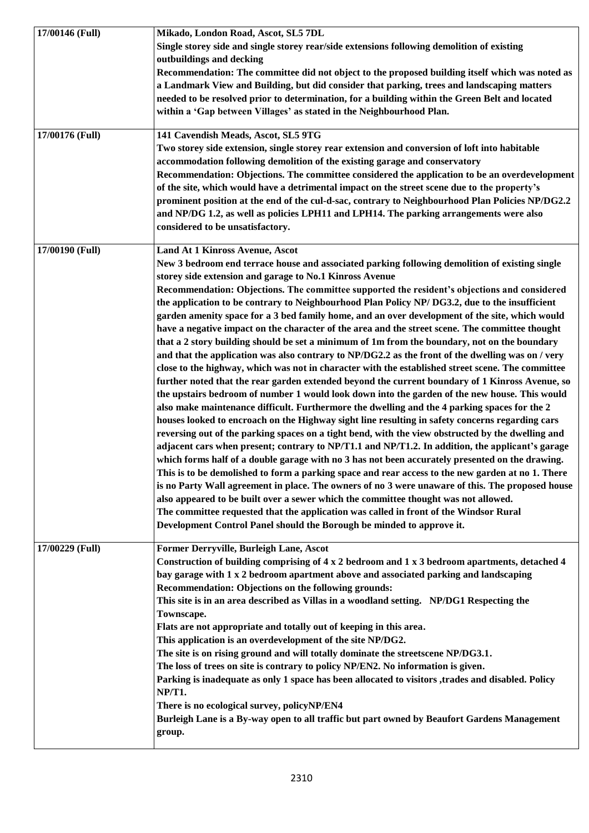| 17/00146 (Full) | Mikado, London Road, Ascot, SL5 7DL<br>Single storey side and single storey rear/side extensions following demolition of existing<br>outbuildings and decking<br>Recommendation: The committee did not object to the proposed building itself which was noted as<br>a Landmark View and Building, but did consider that parking, trees and landscaping matters<br>needed to be resolved prior to determination, for a building within the Green Belt and located                                                                                                                                                                                                                                                                                                                                                                                                                                                                                                                                                                                                                                                                                                                                                                                                                                                                                                                                                                                                                                                                                                                                                                                                                                                                                                                                                                                                                                                                                                                                                                                                                                   |
|-----------------|----------------------------------------------------------------------------------------------------------------------------------------------------------------------------------------------------------------------------------------------------------------------------------------------------------------------------------------------------------------------------------------------------------------------------------------------------------------------------------------------------------------------------------------------------------------------------------------------------------------------------------------------------------------------------------------------------------------------------------------------------------------------------------------------------------------------------------------------------------------------------------------------------------------------------------------------------------------------------------------------------------------------------------------------------------------------------------------------------------------------------------------------------------------------------------------------------------------------------------------------------------------------------------------------------------------------------------------------------------------------------------------------------------------------------------------------------------------------------------------------------------------------------------------------------------------------------------------------------------------------------------------------------------------------------------------------------------------------------------------------------------------------------------------------------------------------------------------------------------------------------------------------------------------------------------------------------------------------------------------------------------------------------------------------------------------------------------------------------|
|                 | within a 'Gap between Villages' as stated in the Neighbourhood Plan.                                                                                                                                                                                                                                                                                                                                                                                                                                                                                                                                                                                                                                                                                                                                                                                                                                                                                                                                                                                                                                                                                                                                                                                                                                                                                                                                                                                                                                                                                                                                                                                                                                                                                                                                                                                                                                                                                                                                                                                                                               |
| 17/00176 (Full) | 141 Cavendish Meads, Ascot, SL5 9TG<br>Two storey side extension, single storey rear extension and conversion of loft into habitable<br>accommodation following demolition of the existing garage and conservatory<br>Recommendation: Objections. The committee considered the application to be an overdevelopment<br>of the site, which would have a detrimental impact on the street scene due to the property's<br>prominent position at the end of the cul-d-sac, contrary to Neighbourhood Plan Policies NP/DG2.2<br>and NP/DG 1.2, as well as policies LPH11 and LPH14. The parking arrangements were also<br>considered to be unsatisfactory.                                                                                                                                                                                                                                                                                                                                                                                                                                                                                                                                                                                                                                                                                                                                                                                                                                                                                                                                                                                                                                                                                                                                                                                                                                                                                                                                                                                                                                              |
| 17/00190 (Full) | Land At 1 Kinross Avenue, Ascot<br>New 3 bedroom end terrace house and associated parking following demolition of existing single<br>storey side extension and garage to No.1 Kinross Avenue<br>Recommendation: Objections. The committee supported the resident's objections and considered<br>the application to be contrary to Neighbourhood Plan Policy NP/ DG3.2, due to the insufficient<br>garden amenity space for a 3 bed family home, and an over development of the site, which would<br>have a negative impact on the character of the area and the street scene. The committee thought<br>that a 2 story building should be set a minimum of 1m from the boundary, not on the boundary<br>and that the application was also contrary to NP/DG2.2 as the front of the dwelling was on / very<br>close to the highway, which was not in character with the established street scene. The committee<br>further noted that the rear garden extended beyond the current boundary of 1 Kinross Avenue, so<br>the upstairs bedroom of number 1 would look down into the garden of the new house. This would<br>also make maintenance difficult. Furthermore the dwelling and the 4 parking spaces for the 2<br>houses looked to encroach on the Highway sight line resulting in safety concerns regarding cars<br>reversing out of the parking spaces on a tight bend, with the view obstructed by the dwelling and<br>adjacent cars when present; contrary to NP/T1.1 and NP/T1.2. In addition, the applicant's garage<br>which forms half of a double garage with no 3 has not been accurately presented on the drawing.<br>This is to be demolished to form a parking space and rear access to the new garden at no 1. There<br>is no Party Wall agreement in place. The owners of no 3 were unaware of this. The proposed house<br>also appeared to be built over a sewer which the committee thought was not allowed.<br>The committee requested that the application was called in front of the Windsor Rural<br>Development Control Panel should the Borough be minded to approve it. |
| 17/00229 (Full) | Former Derryville, Burleigh Lane, Ascot<br>Construction of building comprising of $4 \times 2$ bedroom and $1 \times 3$ bedroom apartments, detached 4<br>bay garage with 1 x 2 bedroom apartment above and associated parking and landscaping<br>Recommendation: Objections on the following grounds:<br>This site is in an area described as Villas in a woodland setting. NP/DG1 Respecting the<br>Townscape.<br>Flats are not appropriate and totally out of keeping in this area.<br>This application is an overdevelopment of the site NP/DG2.<br>The site is on rising ground and will totally dominate the streetscene NP/DG3.1.<br>The loss of trees on site is contrary to policy NP/EN2. No information is given.<br>Parking is inadequate as only 1 space has been allocated to visitors , trades and disabled. Policy<br><b>NP/T1.</b><br>There is no ecological survey, policyNP/EN4<br>Burleigh Lane is a By-way open to all traffic but part owned by Beaufort Gardens Management<br>group.                                                                                                                                                                                                                                                                                                                                                                                                                                                                                                                                                                                                                                                                                                                                                                                                                                                                                                                                                                                                                                                                                        |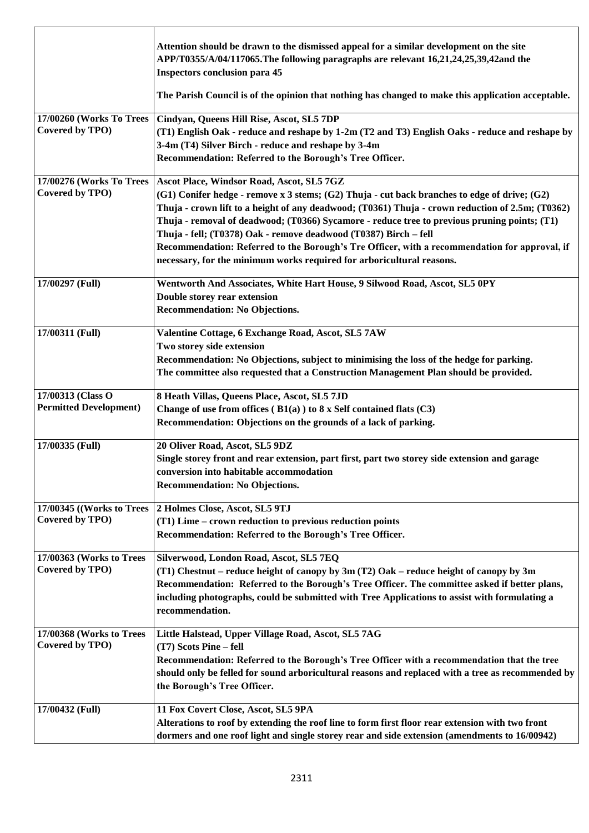|                                                    | Attention should be drawn to the dismissed appeal for a similar development on the site<br>APP/T0355/A/04/117065. The following paragraphs are relevant 16,21,24,25,39,42and the<br><b>Inspectors conclusion para 45</b><br>The Parish Council is of the opinion that nothing has changed to make this application acceptable.                                                                                                                                                                                                                                                              |
|----------------------------------------------------|---------------------------------------------------------------------------------------------------------------------------------------------------------------------------------------------------------------------------------------------------------------------------------------------------------------------------------------------------------------------------------------------------------------------------------------------------------------------------------------------------------------------------------------------------------------------------------------------|
| 17/00260 (Works To Trees<br>Covered by TPO)        | Cindyan, Queens Hill Rise, Ascot, SL5 7DP<br>(T1) English Oak - reduce and reshape by 1-2m (T2 and T3) English Oaks - reduce and reshape by<br>3-4m (T4) Silver Birch - reduce and reshape by 3-4m<br>Recommendation: Referred to the Borough's Tree Officer.                                                                                                                                                                                                                                                                                                                               |
| 17/00276 (Works To Trees<br>Covered by TPO)        | Ascot Place, Windsor Road, Ascot, SL5 7GZ<br>(G1) Conifer hedge - remove x 3 stems; (G2) Thuja - cut back branches to edge of drive; (G2)<br>Thuja - crown lift to a height of any deadwood; (T0361) Thuja - crown reduction of 2.5m; (T0362)<br>Thuja - removal of deadwood; (T0366) Sycamore - reduce tree to previous pruning points; (T1)<br>Thuja - fell; (T0378) Oak - remove deadwood (T0387) Birch - fell<br>Recommendation: Referred to the Borough's Tre Officer, with a recommendation for approval, if<br>necessary, for the minimum works required for arboricultural reasons. |
| 17/00297 (Full)                                    | Wentworth And Associates, White Hart House, 9 Silwood Road, Ascot, SL5 0PY<br>Double storey rear extension<br><b>Recommendation: No Objections.</b>                                                                                                                                                                                                                                                                                                                                                                                                                                         |
| 17/00311 (Full)                                    | Valentine Cottage, 6 Exchange Road, Ascot, SL5 7AW<br>Two storey side extension<br>Recommendation: No Objections, subject to minimising the loss of the hedge for parking.<br>The committee also requested that a Construction Management Plan should be provided.                                                                                                                                                                                                                                                                                                                          |
| 17/00313 (Class O<br><b>Permitted Development)</b> | 8 Heath Villas, Queens Place, Ascot, SL5 7JD<br>Change of use from offices $(B1(a))$ to 8 x Self contained flats $(C3)$<br>Recommendation: Objections on the grounds of a lack of parking.                                                                                                                                                                                                                                                                                                                                                                                                  |
| 17/00335 (Full)                                    | 20 Oliver Road, Ascot, SL5 9DZ<br>Single storey front and rear extension, part first, part two storey side extension and garage<br>conversion into habitable accommodation<br><b>Recommendation: No Objections.</b>                                                                                                                                                                                                                                                                                                                                                                         |
| 17/00345 ((Works to Trees<br>Covered by TPO)       | 2 Holmes Close, Ascot, SL5 9TJ<br>(T1) Lime – crown reduction to previous reduction points<br>Recommendation: Referred to the Borough's Tree Officer.                                                                                                                                                                                                                                                                                                                                                                                                                                       |
| 17/00363 (Works to Trees<br>Covered by TPO)        | Silverwood, London Road, Ascot, SL5 7EQ<br>(T1) Chestnut – reduce height of canopy by 3m (T2) Oak – reduce height of canopy by 3m<br>Recommendation: Referred to the Borough's Tree Officer. The committee asked if better plans,<br>including photographs, could be submitted with Tree Applications to assist with formulating a<br>recommendation.                                                                                                                                                                                                                                       |
| 17/00368 (Works to Trees<br>Covered by TPO)        | Little Halstead, Upper Village Road, Ascot, SL5 7AG<br>(T7) Scots Pine - fell<br>Recommendation: Referred to the Borough's Tree Officer with a recommendation that the tree<br>should only be felled for sound arboricultural reasons and replaced with a tree as recommended by<br>the Borough's Tree Officer.                                                                                                                                                                                                                                                                             |
| 17/00432 (Full)                                    | 11 Fox Covert Close, Ascot, SL5 9PA<br>Alterations to roof by extending the roof line to form first floor rear extension with two front<br>dormers and one roof light and single storey rear and side extension (amendments to 16/00942)                                                                                                                                                                                                                                                                                                                                                    |